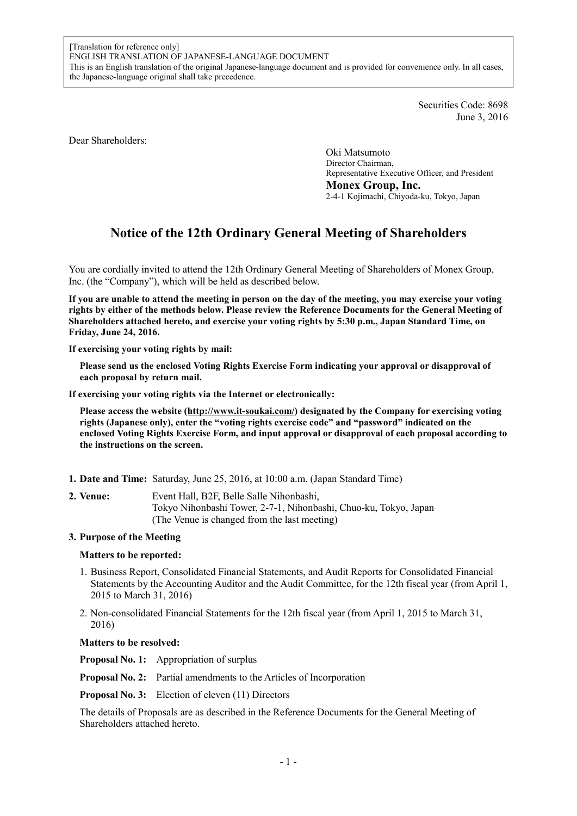Securities Code: 8698 June 3, 2016

Dear Shareholders:

Oki Matsumoto Director Chairman, Representative Executive Officer, and President **Monex Group, Inc.**  2-4-1 Kojimachi, Chiyoda-ku, Tokyo, Japan

# **Notice of the 12th Ordinary General Meeting of Shareholders**

You are cordially invited to attend the 12th Ordinary General Meeting of Shareholders of Monex Group, Inc. (the "Company"), which will be held as described below.

**If you are unable to attend the meeting in person on the day of the meeting, you may exercise your voting rights by either of the methods below. Please review the Reference Documents for the General Meeting of Shareholders attached hereto, and exercise your voting rights by 5:30 p.m., Japan Standard Time, on Friday, June 24, 2016.** 

**If exercising your voting rights by mail:** 

**Please send us the enclosed Voting Rights Exercise Form indicating your approval or disapproval of each proposal by return mail.** 

**If exercising your voting rights via the Internet or electronically:** 

**Please access the website (http://www.it-soukai.com/) designated by the Company for exercising voting rights (Japanese only), enter the "voting rights exercise code" and "password" indicated on the enclosed Voting Rights Exercise Form, and input approval or disapproval of each proposal according to the instructions on the screen.** 

- **1. Date and Time:** Saturday, June 25, 2016, at 10:00 a.m. (Japan Standard Time)
- **2. Venue:** Event Hall, B2F, Belle Salle Nihonbashi, Tokyo Nihonbashi Tower, 2-7-1, Nihonbashi, Chuo-ku, Tokyo, Japan (The Venue is changed from the last meeting)

### **3. Purpose of the Meeting**

### **Matters to be reported:**

- 1. Business Report, Consolidated Financial Statements, and Audit Reports for Consolidated Financial Statements by the Accounting Auditor and the Audit Committee, for the 12th fiscal year (from April 1, 2015 to March 31, 2016)
- 2. Non-consolidated Financial Statements for the 12th fiscal year (from April 1, 2015 to March 31, 2016)

#### **Matters to be resolved:**

**Proposal No. 1:** Appropriation of surplus

**Proposal No. 2:** Partial amendments to the Articles of Incorporation

**Proposal No. 3:** Election of eleven (11) Directors

The details of Proposals are as described in the Reference Documents for the General Meeting of Shareholders attached hereto.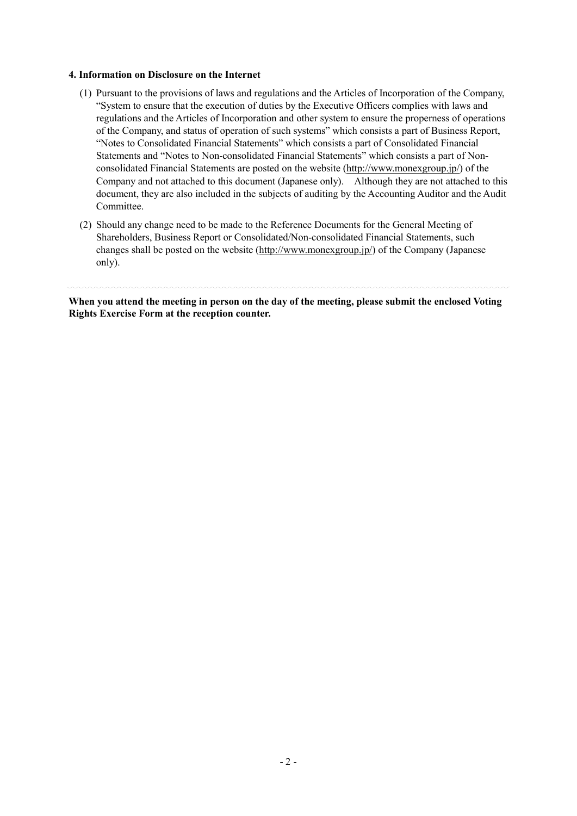#### **4. Information on Disclosure on the Internet**

- (1) Pursuant to the provisions of laws and regulations and the Articles of Incorporation of the Company, "System to ensure that the execution of duties by the Executive Officers complies with laws and regulations and the Articles of Incorporation and other system to ensure the properness of operations of the Company, and status of operation of such systems" which consists a part of Business Report, "Notes to Consolidated Financial Statements" which consists a part of Consolidated Financial Statements and "Notes to Non-consolidated Financial Statements" which consists a part of Nonconsolidated Financial Statements are posted on the website (http://www.monexgroup.jp/) of the Company and not attached to this document (Japanese only). Although they are not attached to this document, they are also included in the subjects of auditing by the Accounting Auditor and the Audit Committee.
- (2) Should any change need to be made to the Reference Documents for the General Meeting of Shareholders, Business Report or Consolidated/Non-consolidated Financial Statements, such changes shall be posted on the website (http://www.monexgroup.jp/) of the Company (Japanese only).

**When you attend the meeting in person on the day of the meeting, please submit the enclosed Voting Rights Exercise Form at the reception counter.**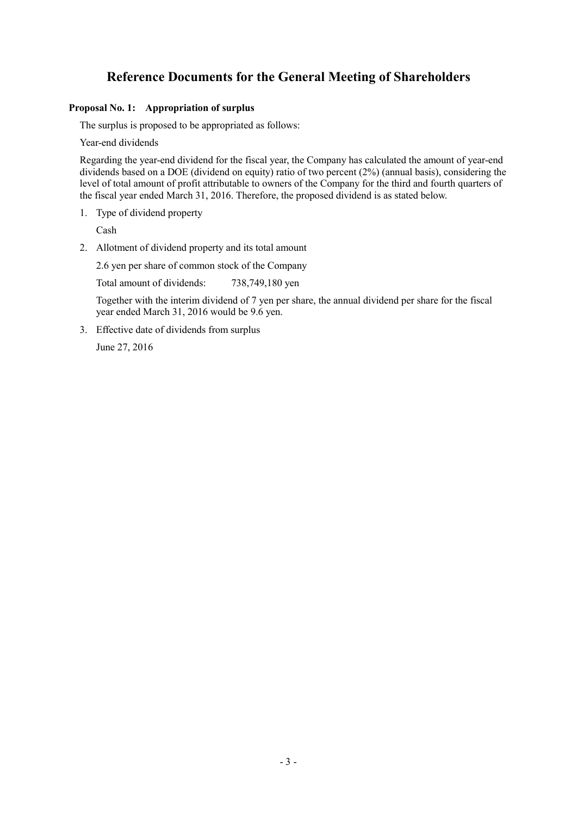## **Reference Documents for the General Meeting of Shareholders**

### **Proposal No. 1: Appropriation of surplus**

The surplus is proposed to be appropriated as follows:

Year-end dividends

Regarding the year-end dividend for the fiscal year, the Company has calculated the amount of year-end dividends based on a DOE (dividend on equity) ratio of two percent (2%) (annual basis), considering the level of total amount of profit attributable to owners of the Company for the third and fourth quarters of the fiscal year ended March 31, 2016. Therefore, the proposed dividend is as stated below.

1. Type of dividend property

Cash

2. Allotment of dividend property and its total amount

2.6 yen per share of common stock of the Company

Total amount of dividends: 738,749,180 yen

 Together with the interim dividend of 7 yen per share, the annual dividend per share for the fiscal year ended March 31, 2016 would be 9.6 yen.

3. Effective date of dividends from surplus

June 27, 2016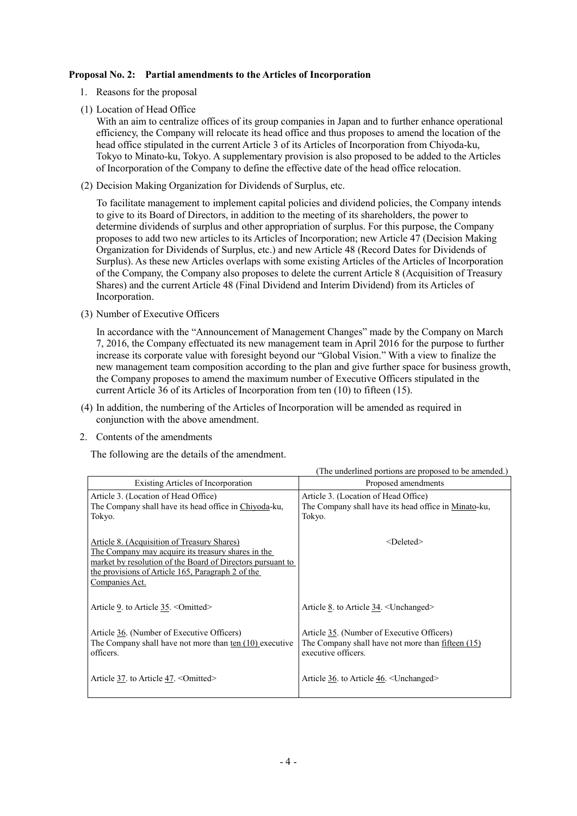### **Proposal No. 2: Partial amendments to the Articles of Incorporation**

- 1. Reasons for the proposal
- (1) Location of Head Office

With an aim to centralize offices of its group companies in Japan and to further enhance operational efficiency, the Company will relocate its head office and thus proposes to amend the location of the head office stipulated in the current Article 3 of its Articles of Incorporation from Chiyoda-ku, Tokyo to Minato-ku, Tokyo. A supplementary provision is also proposed to be added to the Articles of Incorporation of the Company to define the effective date of the head office relocation.

(2) Decision Making Organization for Dividends of Surplus, etc.

To facilitate management to implement capital policies and dividend policies, the Company intends to give to its Board of Directors, in addition to the meeting of its shareholders, the power to determine dividends of surplus and other appropriation of surplus. For this purpose, the Company proposes to add two new articles to its Articles of Incorporation; new Article 47 (Decision Making Organization for Dividends of Surplus, etc.) and new Article 48 (Record Dates for Dividends of Surplus). As these new Articles overlaps with some existing Articles of the Articles of Incorporation of the Company, the Company also proposes to delete the current Article 8 (Acquisition of Treasury Shares) and the current Article 48 (Final Dividend and Interim Dividend) from its Articles of Incorporation.

(3) Number of Executive Officers

In accordance with the "Announcement of Management Changes" made by the Company on March 7, 2016, the Company effectuated its new management team in April 2016 for the purpose to further increase its corporate value with foresight beyond our "Global Vision." With a view to finalize the new management team composition according to the plan and give further space for business growth, the Company proposes to amend the maximum number of Executive Officers stipulated in the current Article 36 of its Articles of Incorporation from ten (10) to fifteen (15).

- (4) In addition, the numbering of the Articles of Incorporation will be amended as required in conjunction with the above amendment.
- 2. Contents of the amendments

The following are the details of the amendment.

|                                                                                                                                                                                                                                        | (The underlined portions are proposed to be amended.)                                                                         |
|----------------------------------------------------------------------------------------------------------------------------------------------------------------------------------------------------------------------------------------|-------------------------------------------------------------------------------------------------------------------------------|
| Existing Articles of Incorporation                                                                                                                                                                                                     | Proposed amendments                                                                                                           |
| Article 3. (Location of Head Office)<br>The Company shall have its head office in Chiyoda-ku,<br>Tokyo.                                                                                                                                | Article 3. (Location of Head Office)<br>The Company shall have its head office in Minato-ku,<br>Tokyo.                        |
| Article 8. (Acquisition of Treasury Shares)<br>The Company may acquire its treasury shares in the<br>market by resolution of the Board of Directors pursuant to<br>the provisions of Article 165, Paragraph 2 of the<br>Companies Act. | $<$ Deleted $>$                                                                                                               |
| Article 9. to Article 35. < Omitted>                                                                                                                                                                                                   | Article 8. to Article 34. <unchanged></unchanged>                                                                             |
| Article 36. (Number of Executive Officers)<br>The Company shall have not more than ten (10) executive<br>officers.                                                                                                                     | Article 35. (Number of Executive Officers)<br>The Company shall have not more than <u>fifteen (15)</u><br>executive officers. |
| Article 37. to Article 47. < Omitted>                                                                                                                                                                                                  | Article 36. to Article 46. <unchanged></unchanged>                                                                            |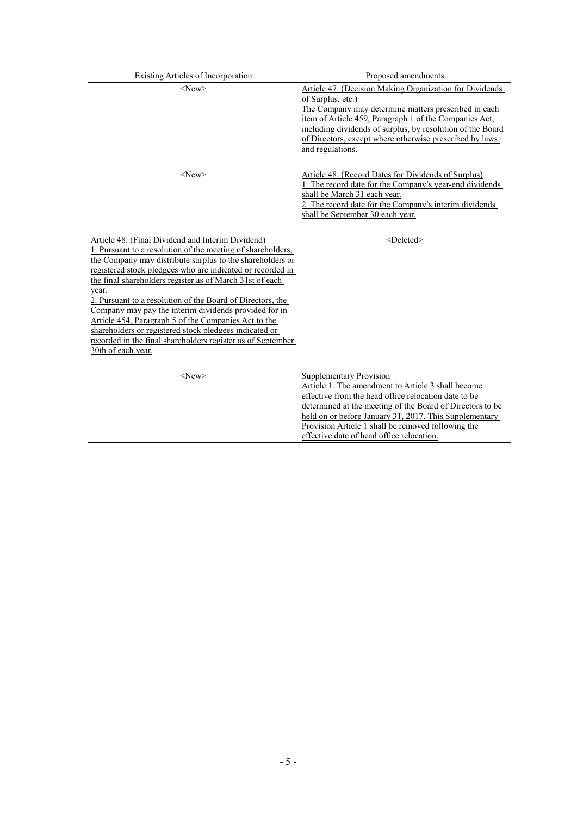| Existing Articles of Incorporation                                                                                                                                                                                                                                                                                                                                                                                                                                                                                                                                                                                                             | Proposed amendments                                                                                                                                                                                                                                                                                                                                                    |  |
|------------------------------------------------------------------------------------------------------------------------------------------------------------------------------------------------------------------------------------------------------------------------------------------------------------------------------------------------------------------------------------------------------------------------------------------------------------------------------------------------------------------------------------------------------------------------------------------------------------------------------------------------|------------------------------------------------------------------------------------------------------------------------------------------------------------------------------------------------------------------------------------------------------------------------------------------------------------------------------------------------------------------------|--|
| $<$ New $>$                                                                                                                                                                                                                                                                                                                                                                                                                                                                                                                                                                                                                                    | Article 47. (Decision Making Organization for Dividends<br>of Surplus, etc.)<br>The Company may determine matters prescribed in each<br>item of Article 459, Paragraph 1 of the Companies Act,<br>including dividends of surplus, by resolution of the Board<br>of Directors, except where otherwise prescribed by laws<br>and regulations.                            |  |
| $<$ New $>$                                                                                                                                                                                                                                                                                                                                                                                                                                                                                                                                                                                                                                    | <b>Article 48. (Record Dates for Dividends of Surplus)</b><br>1. The record date for the Company's year-end dividends<br>shall be March 31 each year.<br>2. The record date for the Company's interim dividends<br>shall be September 30 each year.                                                                                                                    |  |
| Article 48. (Final Dividend and Interim Dividend)<br>1. Pursuant to a resolution of the meeting of shareholders,<br>the Company may distribute surplus to the shareholders or<br>registered stock pledgees who are indicated or recorded in<br>the final shareholders register as of March 31st of each<br>year.<br>2. Pursuant to a resolution of the Board of Directors, the<br>Company may pay the interim dividends provided for in<br>Article 454, Paragraph 5 of the Companies Act to the<br>shareholders or registered stock pledgees indicated or<br>recorded in the final shareholders register as of September<br>30th of each year. | <deleted></deleted>                                                                                                                                                                                                                                                                                                                                                    |  |
| $<$ New $>$                                                                                                                                                                                                                                                                                                                                                                                                                                                                                                                                                                                                                                    | <b>Supplementary Provision</b><br>Article 1. The amendment to Article 3 shall become<br>effective from the head office relocation date to be<br>determined at the meeting of the Board of Directors to be<br>held on or before January 31, 2017. This Supplementary<br>Provision Article 1 shall be removed following the<br>effective date of head office relocation. |  |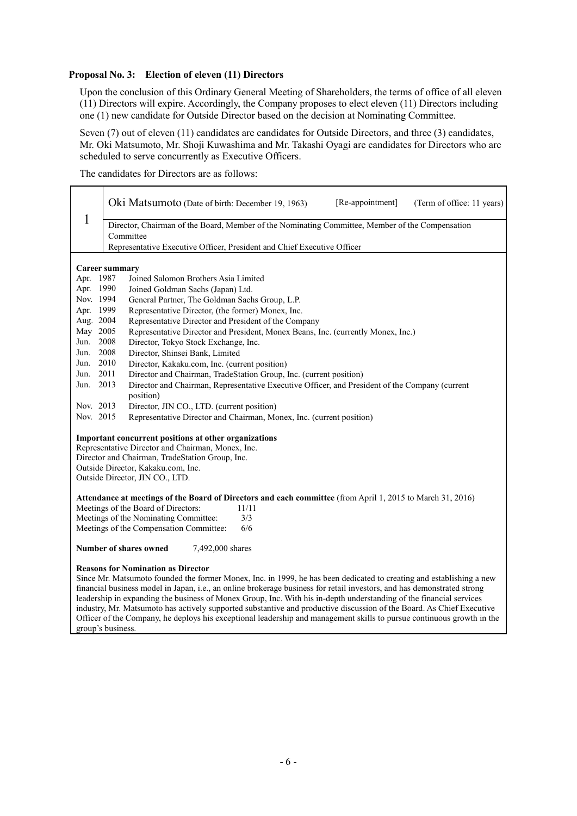## **Proposal No. 3: Election of eleven (11) Directors**

Upon the conclusion of this Ordinary General Meeting of Shareholders, the terms of office of all eleven (11) Directors will expire. Accordingly, the Company proposes to elect eleven (11) Directors including one (1) new candidate for Outside Director based on the decision at Nominating Committee.

Seven (7) out of eleven (11) candidates are candidates for Outside Directors, and three (3) candidates, Mr. Oki Matsumoto, Mr. Shoji Kuwashima and Mr. Takashi Oyagi are candidates for Directors who are scheduled to serve concurrently as Executive Officers.

The candidates for Directors are as follows:

|                                            |                                                                                                      | Oki Matsumoto (Date of birth: December 19, 1963)<br>[Re-appointment]<br>(Term of office: 11 years)                                                                                                                                                                                                                                                                                                                                                                                                                                                                                                                                                                     |  |  |  |
|--------------------------------------------|------------------------------------------------------------------------------------------------------|------------------------------------------------------------------------------------------------------------------------------------------------------------------------------------------------------------------------------------------------------------------------------------------------------------------------------------------------------------------------------------------------------------------------------------------------------------------------------------------------------------------------------------------------------------------------------------------------------------------------------------------------------------------------|--|--|--|
|                                            | 1<br>Director, Chairman of the Board, Member of the Nominating Committee, Member of the Compensation |                                                                                                                                                                                                                                                                                                                                                                                                                                                                                                                                                                                                                                                                        |  |  |  |
|                                            | Committee                                                                                            |                                                                                                                                                                                                                                                                                                                                                                                                                                                                                                                                                                                                                                                                        |  |  |  |
|                                            |                                                                                                      | Representative Executive Officer, President and Chief Executive Officer                                                                                                                                                                                                                                                                                                                                                                                                                                                                                                                                                                                                |  |  |  |
|                                            |                                                                                                      |                                                                                                                                                                                                                                                                                                                                                                                                                                                                                                                                                                                                                                                                        |  |  |  |
|                                            | <b>Career summary</b>                                                                                |                                                                                                                                                                                                                                                                                                                                                                                                                                                                                                                                                                                                                                                                        |  |  |  |
| Apr. 1987                                  |                                                                                                      | Joined Salomon Brothers Asia Limited                                                                                                                                                                                                                                                                                                                                                                                                                                                                                                                                                                                                                                   |  |  |  |
| Nov. 1994                                  | Apr. 1990                                                                                            | Joined Goldman Sachs (Japan) Ltd.                                                                                                                                                                                                                                                                                                                                                                                                                                                                                                                                                                                                                                      |  |  |  |
|                                            |                                                                                                      | General Partner, The Goldman Sachs Group, L.P.                                                                                                                                                                                                                                                                                                                                                                                                                                                                                                                                                                                                                         |  |  |  |
|                                            | Apr. 1999<br>Aug. 2004                                                                               | Representative Director, (the former) Monex, Inc.                                                                                                                                                                                                                                                                                                                                                                                                                                                                                                                                                                                                                      |  |  |  |
| May 2005                                   |                                                                                                      | Representative Director and President of the Company                                                                                                                                                                                                                                                                                                                                                                                                                                                                                                                                                                                                                   |  |  |  |
| Jun.                                       | 2008                                                                                                 | Representative Director and President, Monex Beans, Inc. (currently Monex, Inc.)                                                                                                                                                                                                                                                                                                                                                                                                                                                                                                                                                                                       |  |  |  |
| Jun.                                       | 2008                                                                                                 | Director, Tokyo Stock Exchange, Inc.<br>Director, Shinsei Bank, Limited                                                                                                                                                                                                                                                                                                                                                                                                                                                                                                                                                                                                |  |  |  |
|                                            | Jun. 2010                                                                                            | Director, Kakaku.com, Inc. (current position)                                                                                                                                                                                                                                                                                                                                                                                                                                                                                                                                                                                                                          |  |  |  |
| Jun.                                       | 2011                                                                                                 | Director and Chairman, TradeStation Group, Inc. (current position)                                                                                                                                                                                                                                                                                                                                                                                                                                                                                                                                                                                                     |  |  |  |
| Jun. 2013                                  |                                                                                                      | Director and Chairman, Representative Executive Officer, and President of the Company (current                                                                                                                                                                                                                                                                                                                                                                                                                                                                                                                                                                         |  |  |  |
|                                            |                                                                                                      | position)                                                                                                                                                                                                                                                                                                                                                                                                                                                                                                                                                                                                                                                              |  |  |  |
| Nov. 2013                                  |                                                                                                      | Director, JIN CO., LTD. (current position)                                                                                                                                                                                                                                                                                                                                                                                                                                                                                                                                                                                                                             |  |  |  |
| Nov. 2015                                  |                                                                                                      | Representative Director and Chairman, Monex, Inc. (current position)                                                                                                                                                                                                                                                                                                                                                                                                                                                                                                                                                                                                   |  |  |  |
|                                            |                                                                                                      | Important concurrent positions at other organizations                                                                                                                                                                                                                                                                                                                                                                                                                                                                                                                                                                                                                  |  |  |  |
|                                            |                                                                                                      | Representative Director and Chairman, Monex, Inc.                                                                                                                                                                                                                                                                                                                                                                                                                                                                                                                                                                                                                      |  |  |  |
|                                            |                                                                                                      | Director and Chairman, TradeStation Group, Inc.                                                                                                                                                                                                                                                                                                                                                                                                                                                                                                                                                                                                                        |  |  |  |
|                                            |                                                                                                      | Outside Director, Kakaku.com, Inc.                                                                                                                                                                                                                                                                                                                                                                                                                                                                                                                                                                                                                                     |  |  |  |
|                                            |                                                                                                      | Outside Director, JIN CO., LTD.                                                                                                                                                                                                                                                                                                                                                                                                                                                                                                                                                                                                                                        |  |  |  |
|                                            |                                                                                                      | Attendance at meetings of the Board of Directors and each committee (from April 1, 2015 to March 31, 2016)                                                                                                                                                                                                                                                                                                                                                                                                                                                                                                                                                             |  |  |  |
|                                            |                                                                                                      | Meetings of the Board of Directors:<br>11/11                                                                                                                                                                                                                                                                                                                                                                                                                                                                                                                                                                                                                           |  |  |  |
|                                            |                                                                                                      | Meetings of the Nominating Committee:<br>3/3                                                                                                                                                                                                                                                                                                                                                                                                                                                                                                                                                                                                                           |  |  |  |
|                                            |                                                                                                      | 6/6<br>Meetings of the Compensation Committee:                                                                                                                                                                                                                                                                                                                                                                                                                                                                                                                                                                                                                         |  |  |  |
| Number of shares owned<br>7,492,000 shares |                                                                                                      |                                                                                                                                                                                                                                                                                                                                                                                                                                                                                                                                                                                                                                                                        |  |  |  |
|                                            | group's business.                                                                                    | <b>Reasons for Nomination as Director</b><br>Since Mr. Matsumoto founded the former Monex, Inc. in 1999, he has been dedicated to creating and establishing a new<br>financial business model in Japan, i.e., an online brokerage business for retail investors, and has demonstrated strong<br>leadership in expanding the business of Monex Group, Inc. With his in-depth understanding of the financial services<br>industry, Mr. Matsumoto has actively supported substantive and productive discussion of the Board. As Chief Executive<br>Officer of the Company, he deploys his exceptional leadership and management skills to pursue continuous growth in the |  |  |  |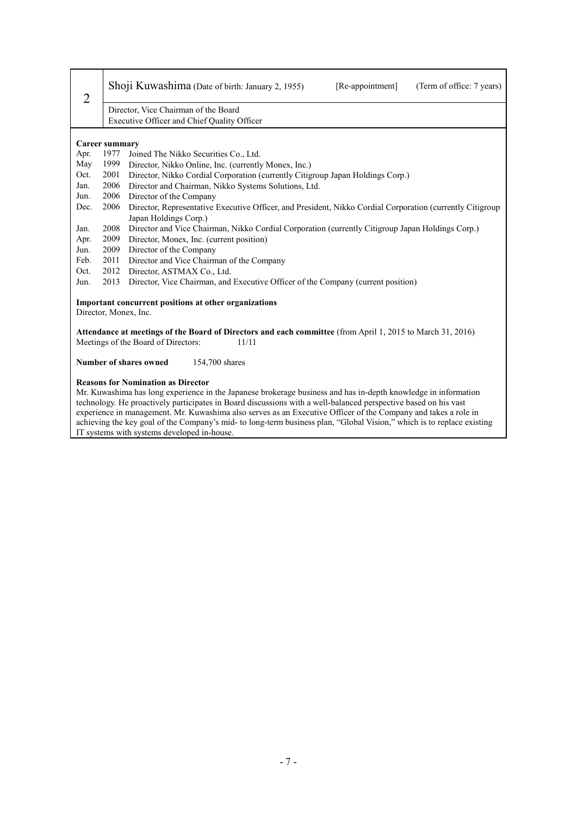| $\overline{2}$                                                                                                                                             | Shoji Kuwashima (Date of birth: January 2, 1955)<br>[Re-appointment]<br>(Term of office: 7 years)                                                                                                                                                                                                                                                                                                                                                                                                                                                                         |  |  |  |  |
|------------------------------------------------------------------------------------------------------------------------------------------------------------|---------------------------------------------------------------------------------------------------------------------------------------------------------------------------------------------------------------------------------------------------------------------------------------------------------------------------------------------------------------------------------------------------------------------------------------------------------------------------------------------------------------------------------------------------------------------------|--|--|--|--|
|                                                                                                                                                            | Director, Vice Chairman of the Board                                                                                                                                                                                                                                                                                                                                                                                                                                                                                                                                      |  |  |  |  |
|                                                                                                                                                            | Executive Officer and Chief Quality Officer                                                                                                                                                                                                                                                                                                                                                                                                                                                                                                                               |  |  |  |  |
|                                                                                                                                                            | <b>Career summary</b>                                                                                                                                                                                                                                                                                                                                                                                                                                                                                                                                                     |  |  |  |  |
| Apr.                                                                                                                                                       | 1977<br>Joined The Nikko Securities Co., Ltd.                                                                                                                                                                                                                                                                                                                                                                                                                                                                                                                             |  |  |  |  |
| May                                                                                                                                                        | 1999<br>Director, Nikko Online, Inc. (currently Monex, Inc.)                                                                                                                                                                                                                                                                                                                                                                                                                                                                                                              |  |  |  |  |
| Oct.                                                                                                                                                       | 2001<br>Director, Nikko Cordial Corporation (currently Citigroup Japan Holdings Corp.)                                                                                                                                                                                                                                                                                                                                                                                                                                                                                    |  |  |  |  |
| Jan.                                                                                                                                                       | Director and Chairman, Nikko Systems Solutions, Ltd.<br>2006                                                                                                                                                                                                                                                                                                                                                                                                                                                                                                              |  |  |  |  |
| Jun.                                                                                                                                                       | 2006<br>Director of the Company                                                                                                                                                                                                                                                                                                                                                                                                                                                                                                                                           |  |  |  |  |
| Dec.                                                                                                                                                       | 2006<br>Director, Representative Executive Officer, and President, Nikko Cordial Corporation (currently Citigroup)                                                                                                                                                                                                                                                                                                                                                                                                                                                        |  |  |  |  |
|                                                                                                                                                            | Japan Holdings Corp.)                                                                                                                                                                                                                                                                                                                                                                                                                                                                                                                                                     |  |  |  |  |
| Jan.                                                                                                                                                       | Director and Vice Chairman, Nikko Cordial Corporation (currently Citigroup Japan Holdings Corp.)<br>2008                                                                                                                                                                                                                                                                                                                                                                                                                                                                  |  |  |  |  |
| Apr.                                                                                                                                                       | 2009<br>Director, Monex, Inc. (current position)                                                                                                                                                                                                                                                                                                                                                                                                                                                                                                                          |  |  |  |  |
| Jun.                                                                                                                                                       | 2009<br>Director of the Company                                                                                                                                                                                                                                                                                                                                                                                                                                                                                                                                           |  |  |  |  |
| Feb.                                                                                                                                                       | Director and Vice Chairman of the Company<br>2011                                                                                                                                                                                                                                                                                                                                                                                                                                                                                                                         |  |  |  |  |
| Oct.                                                                                                                                                       | 2012<br>Director, ASTMAX Co., Ltd.                                                                                                                                                                                                                                                                                                                                                                                                                                                                                                                                        |  |  |  |  |
| Jun.                                                                                                                                                       | 2013<br>Director, Vice Chairman, and Executive Officer of the Company (current position)                                                                                                                                                                                                                                                                                                                                                                                                                                                                                  |  |  |  |  |
|                                                                                                                                                            | Important concurrent positions at other organizations                                                                                                                                                                                                                                                                                                                                                                                                                                                                                                                     |  |  |  |  |
|                                                                                                                                                            | Director, Monex, Inc.                                                                                                                                                                                                                                                                                                                                                                                                                                                                                                                                                     |  |  |  |  |
| Attendance at meetings of the Board of Directors and each committee (from April 1, 2015 to March 31, 2016)<br>Meetings of the Board of Directors:<br>11/11 |                                                                                                                                                                                                                                                                                                                                                                                                                                                                                                                                                                           |  |  |  |  |
| Number of shares owned<br>154,700 shares                                                                                                                   |                                                                                                                                                                                                                                                                                                                                                                                                                                                                                                                                                                           |  |  |  |  |
|                                                                                                                                                            | <b>Reasons for Nomination as Director</b><br>Mr. Kuwashima has long experience in the Japanese brokerage business and has in-depth knowledge in information<br>technology. He proactively participates in Board discussions with a well-balanced perspective based on his vast<br>experience in management. Mr. Kuwashima also serves as an Executive Officer of the Company and takes a role in<br>achieving the key goal of the Company's mid- to long-term business plan, "Global Vision," which is to replace existing<br>IT systems with systems developed in-house. |  |  |  |  |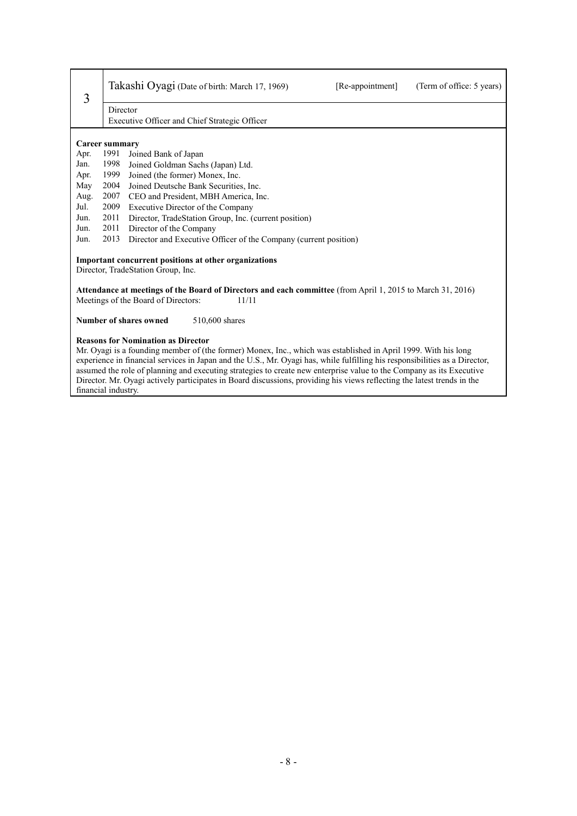| 3    | Takashi Oyagi (Date of birth: March 17, 1969)<br>[Re-appointment]<br>(Term of office: 5 years)                                                 |  |  |  |  |
|------|------------------------------------------------------------------------------------------------------------------------------------------------|--|--|--|--|
|      | Director                                                                                                                                       |  |  |  |  |
|      | Executive Officer and Chief Strategic Officer                                                                                                  |  |  |  |  |
|      |                                                                                                                                                |  |  |  |  |
|      | Career summary                                                                                                                                 |  |  |  |  |
| Apr. | 1991<br>Joined Bank of Japan                                                                                                                   |  |  |  |  |
| Jan. | 1998<br>Joined Goldman Sachs (Japan) Ltd.                                                                                                      |  |  |  |  |
| Apr. | 1999<br>Joined (the former) Monex, Inc.                                                                                                        |  |  |  |  |
| May  | 2004<br>Joined Deutsche Bank Securities, Inc.                                                                                                  |  |  |  |  |
| Aug. | 2007<br>CEO and President, MBH America, Inc.                                                                                                   |  |  |  |  |
| Jul. | 2009<br>Executive Director of the Company                                                                                                      |  |  |  |  |
| Jun. | 2011<br>Director, TradeStation Group, Inc. (current position)                                                                                  |  |  |  |  |
| Jun. | 2011<br>Director of the Company                                                                                                                |  |  |  |  |
| Jun. | 2013<br>Director and Executive Officer of the Company (current position)                                                                       |  |  |  |  |
|      | Important concurrent positions at other organizations                                                                                          |  |  |  |  |
|      | Director, TradeStation Group, Inc.                                                                                                             |  |  |  |  |
|      | Attendance at meetings of the Board of Directors and each committee (from April 1, 2015 to March 31, 2016)                                     |  |  |  |  |
|      | Meetings of the Board of Directors:<br>11/11                                                                                                   |  |  |  |  |
|      | Number of shares owned<br>510,600 shares                                                                                                       |  |  |  |  |
|      | <b>Reasons for Nomination as Director</b>                                                                                                      |  |  |  |  |
|      | Mr. Oyagi is a founding member of (the former) Monex, Inc., which was established in April 1999. With his long                                 |  |  |  |  |
|      | experience in financial services in Japan and the U.S., Mr. Oyagi has, while fulfilling his responsibilities as a Director,                    |  |  |  |  |
|      | assumed the role of planning and executing strategies to create new enterprise value to the Company as its Executive                           |  |  |  |  |
|      | Director. Mr. Oyagi actively participates in Board discussions, providing his views reflecting the latest trends in the<br>financial industry. |  |  |  |  |
|      |                                                                                                                                                |  |  |  |  |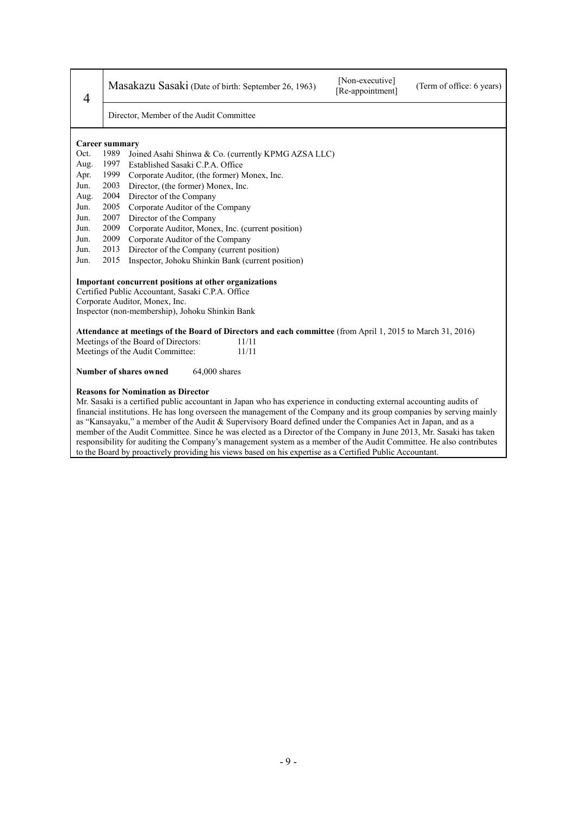| $\overline{4}$                                                                                                                                                                                  |      | Masakazu Sasaki (Date of birth: September 26, 1963)                                                                                                                                                                                                                                                                                                                                                                                                                                                                             | [Non-executive]<br>[Re-appointment] | (Term of office: 6 years) |
|-------------------------------------------------------------------------------------------------------------------------------------------------------------------------------------------------|------|---------------------------------------------------------------------------------------------------------------------------------------------------------------------------------------------------------------------------------------------------------------------------------------------------------------------------------------------------------------------------------------------------------------------------------------------------------------------------------------------------------------------------------|-------------------------------------|---------------------------|
|                                                                                                                                                                                                 |      | Director, Member of the Audit Committee                                                                                                                                                                                                                                                                                                                                                                                                                                                                                         |                                     |                           |
| Career summary                                                                                                                                                                                  |      |                                                                                                                                                                                                                                                                                                                                                                                                                                                                                                                                 |                                     |                           |
| Oct.                                                                                                                                                                                            | 1989 | Joined Asahi Shinwa & Co. (currently KPMG AZSA LLC)                                                                                                                                                                                                                                                                                                                                                                                                                                                                             |                                     |                           |
| Aug.                                                                                                                                                                                            | 1997 | Established Sasaki C.P.A. Office                                                                                                                                                                                                                                                                                                                                                                                                                                                                                                |                                     |                           |
| Apr.                                                                                                                                                                                            | 1999 | Corporate Auditor, (the former) Monex, Inc.                                                                                                                                                                                                                                                                                                                                                                                                                                                                                     |                                     |                           |
| Jun.                                                                                                                                                                                            | 2003 | Director, (the former) Monex, Inc.                                                                                                                                                                                                                                                                                                                                                                                                                                                                                              |                                     |                           |
| Aug.                                                                                                                                                                                            | 2004 | Director of the Company                                                                                                                                                                                                                                                                                                                                                                                                                                                                                                         |                                     |                           |
| Jun.                                                                                                                                                                                            | 2005 | Corporate Auditor of the Company                                                                                                                                                                                                                                                                                                                                                                                                                                                                                                |                                     |                           |
| Jun.                                                                                                                                                                                            | 2007 | Director of the Company                                                                                                                                                                                                                                                                                                                                                                                                                                                                                                         |                                     |                           |
| Jun.                                                                                                                                                                                            | 2009 | Corporate Auditor, Monex, Inc. (current position)                                                                                                                                                                                                                                                                                                                                                                                                                                                                               |                                     |                           |
| Jun.                                                                                                                                                                                            | 2009 | Corporate Auditor of the Company                                                                                                                                                                                                                                                                                                                                                                                                                                                                                                |                                     |                           |
| Jun.                                                                                                                                                                                            | 2013 | Director of the Company (current position)                                                                                                                                                                                                                                                                                                                                                                                                                                                                                      |                                     |                           |
| Jun.                                                                                                                                                                                            | 2015 | Inspector, Johoku Shinkin Bank (current position)                                                                                                                                                                                                                                                                                                                                                                                                                                                                               |                                     |                           |
| Important concurrent positions at other organizations<br>Certified Public Accountant, Sasaki C.P.A. Office<br>Corporate Auditor, Monex, Inc.<br>Inspector (non-membership), Johoku Shinkin Bank |      |                                                                                                                                                                                                                                                                                                                                                                                                                                                                                                                                 |                                     |                           |
|                                                                                                                                                                                                 |      | Attendance at meetings of the Board of Directors and each committee (from April 1, 2015 to March 31, 2016)                                                                                                                                                                                                                                                                                                                                                                                                                      |                                     |                           |
|                                                                                                                                                                                                 |      | Meetings of the Board of Directors:<br>11/11                                                                                                                                                                                                                                                                                                                                                                                                                                                                                    |                                     |                           |
|                                                                                                                                                                                                 |      | Meetings of the Audit Committee:<br>11/11                                                                                                                                                                                                                                                                                                                                                                                                                                                                                       |                                     |                           |
| Number of shares owned<br>64,000 shares                                                                                                                                                         |      |                                                                                                                                                                                                                                                                                                                                                                                                                                                                                                                                 |                                     |                           |
|                                                                                                                                                                                                 |      | <b>Reasons for Nomination as Director</b><br>Mr. Sasaki is a certified public accountant in Japan who has experience in conducting external accounting audits of<br>financial institutions. He has long overseen the management of the Company and its group companies by serving mainly<br>as "Kansayaku," a member of the Audit & Supervisory Board defined under the Companies Act in Japan, and as a<br>member of the Audit Committee, Since he was elected as a Director of the Company in June 2013. Mr. Sasaki has taken |                                     |                           |

member of the Audit Committee. Since he was elected as a Director of the Company in June 2013, Mr. Sasaki has taken responsibility for auditing the Company's management system as a member of the Audit Committee. He also contributes to the Board by proactively providing his views based on his expertise as a Certified Public Accountant.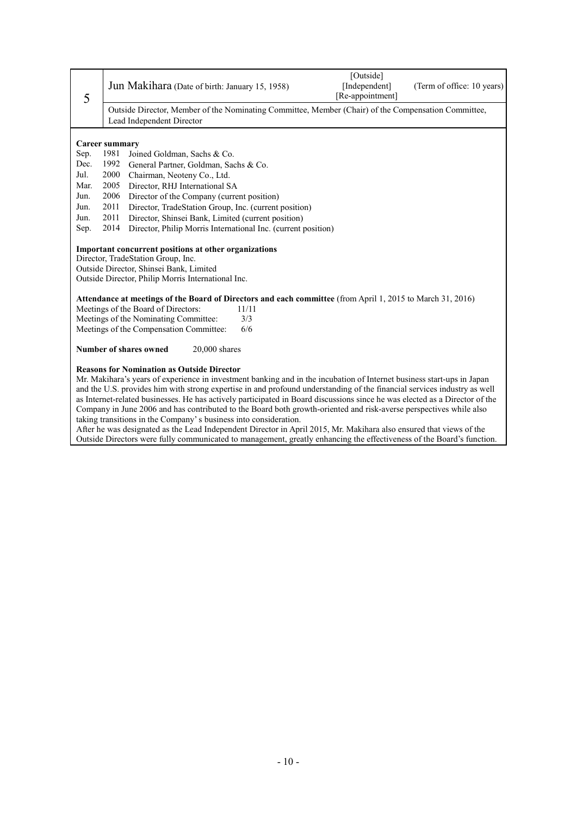| 5                                                                                                                                | Jun Makihara (Date of birth: January 15, 1958)                                                                                         |       | [Outside]<br>[Independent]<br>[Re-appointment] | (Term of office: 10 years) |  |  |
|----------------------------------------------------------------------------------------------------------------------------------|----------------------------------------------------------------------------------------------------------------------------------------|-------|------------------------------------------------|----------------------------|--|--|
| Outside Director, Member of the Nominating Committee, Member (Chair) of the Compensation Committee,<br>Lead Independent Director |                                                                                                                                        |       |                                                |                            |  |  |
|                                                                                                                                  |                                                                                                                                        |       |                                                |                            |  |  |
|                                                                                                                                  | Career summary                                                                                                                         |       |                                                |                            |  |  |
| Sep.                                                                                                                             | 1981<br>Joined Goldman, Sachs & Co.                                                                                                    |       |                                                |                            |  |  |
| Dec.                                                                                                                             | 1992<br>General Partner, Goldman, Sachs & Co.                                                                                          |       |                                                |                            |  |  |
| Jul.                                                                                                                             | 2000<br>Chairman, Neoteny Co., Ltd.                                                                                                    |       |                                                |                            |  |  |
| Mar.                                                                                                                             | 2005<br>Director, RHJ International SA                                                                                                 |       |                                                |                            |  |  |
| Jun.                                                                                                                             | 2006<br>Director of the Company (current position)                                                                                     |       |                                                |                            |  |  |
| Jun.                                                                                                                             | 2011<br>Director, TradeStation Group, Inc. (current position)                                                                          |       |                                                |                            |  |  |
| Jun.                                                                                                                             | 2011<br>Director, Shinsei Bank, Limited (current position)                                                                             |       |                                                |                            |  |  |
| Sep.                                                                                                                             | 2014<br>Director, Philip Morris International Inc. (current position)                                                                  |       |                                                |                            |  |  |
|                                                                                                                                  | Important concurrent positions at other organizations<br>Director, TradeStation Group, Inc.<br>Outside Director, Shinsei Bank, Limited |       |                                                |                            |  |  |
|                                                                                                                                  | Outside Director, Philip Morris International Inc.                                                                                     |       |                                                |                            |  |  |
|                                                                                                                                  |                                                                                                                                        |       |                                                |                            |  |  |
|                                                                                                                                  | Attendance at meetings of the Board of Directors and each committee (from April 1, 2015 to March 31, 2016)                             |       |                                                |                            |  |  |
|                                                                                                                                  | Meetings of the Board of Directors:                                                                                                    | 11/11 |                                                |                            |  |  |
|                                                                                                                                  | Meetings of the Nominating Committee:                                                                                                  | 3/3   |                                                |                            |  |  |
|                                                                                                                                  | Meetings of the Compensation Committee:                                                                                                | 6/6   |                                                |                            |  |  |
|                                                                                                                                  | Number of shares owned<br>20,000 shares                                                                                                |       |                                                |                            |  |  |
|                                                                                                                                  | <b>Reasons for Nomination as Outside Director</b>                                                                                      |       |                                                |                            |  |  |
|                                                                                                                                  | Mr. Makihara's years of experience in investment banking and in the incubation of Internet business start-ups in Japan                 |       |                                                |                            |  |  |
|                                                                                                                                  | and the U.S. provides him with strong expertise in and profound understanding of the financial services industry as well               |       |                                                |                            |  |  |
|                                                                                                                                  | as Internet-related businesses. He has actively participated in Board discussions since he was elected as a Director of the            |       |                                                |                            |  |  |
|                                                                                                                                  | Company in June 2006 and has contributed to the Board both growth-oriented and risk-averse perspectives while also                     |       |                                                |                            |  |  |
|                                                                                                                                  | taking transitions in the Company's business into consideration.                                                                       |       |                                                |                            |  |  |

After he was designated as the Lead Independent Director in April 2015, Mr. Makihara also ensured that views of the Outside Directors were fully communicated to management, greatly enhancing the effectiveness of the Board's function.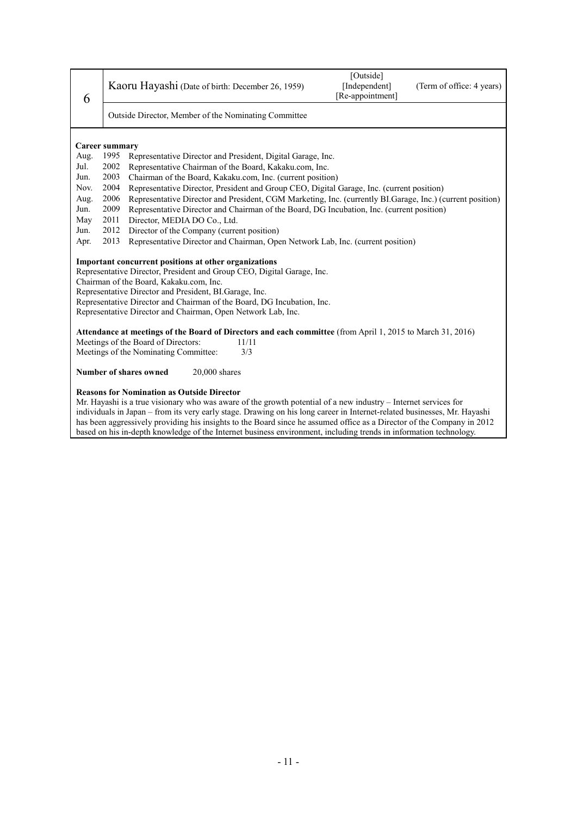| 6                                                                                                                                                                                                                                                                                                                                                                                                                          | [Outside]<br>Kaoru Hayashi (Date of birth: December 26, 1959)<br>[Independent]<br>(Term of office: 4 years)<br>[Re-appointment]                                                                                        |  |  |  |  |
|----------------------------------------------------------------------------------------------------------------------------------------------------------------------------------------------------------------------------------------------------------------------------------------------------------------------------------------------------------------------------------------------------------------------------|------------------------------------------------------------------------------------------------------------------------------------------------------------------------------------------------------------------------|--|--|--|--|
|                                                                                                                                                                                                                                                                                                                                                                                                                            | Outside Director, Member of the Nominating Committee                                                                                                                                                                   |  |  |  |  |
| Aug.                                                                                                                                                                                                                                                                                                                                                                                                                       | <b>Career summary</b><br>1995<br>Representative Director and President, Digital Garage, Inc.                                                                                                                           |  |  |  |  |
| Jul.                                                                                                                                                                                                                                                                                                                                                                                                                       | 2002<br>Representative Chairman of the Board, Kakaku.com, Inc.                                                                                                                                                         |  |  |  |  |
| Jun.                                                                                                                                                                                                                                                                                                                                                                                                                       | 2003<br>Chairman of the Board, Kakaku.com, Inc. (current position)                                                                                                                                                     |  |  |  |  |
| Nov.                                                                                                                                                                                                                                                                                                                                                                                                                       | 2004<br>Representative Director, President and Group CEO, Digital Garage, Inc. (current position)                                                                                                                      |  |  |  |  |
| Aug.<br>Jun.                                                                                                                                                                                                                                                                                                                                                                                                               | 2006<br>Representative Director and President, CGM Marketing, Inc. (currently BI Garage, Inc.) (current position)<br>2009<br>Representative Director and Chairman of the Board, DG Incubation, Inc. (current position) |  |  |  |  |
| May                                                                                                                                                                                                                                                                                                                                                                                                                        | 2011<br>Director, MEDIA DO Co., Ltd.                                                                                                                                                                                   |  |  |  |  |
| Jun.                                                                                                                                                                                                                                                                                                                                                                                                                       | 2012<br>Director of the Company (current position)                                                                                                                                                                     |  |  |  |  |
| Apr.                                                                                                                                                                                                                                                                                                                                                                                                                       | 2013<br>Representative Director and Chairman, Open Network Lab, Inc. (current position)                                                                                                                                |  |  |  |  |
| Important concurrent positions at other organizations<br>Representative Director, President and Group CEO, Digital Garage, Inc.<br>Chairman of the Board, Kakaku.com, Inc.<br>Representative Director and President, BI. Garage, Inc.<br>Representative Director and Chairman of the Board, DG Incubation, Inc.<br>Representative Director and Chairman, Open Network Lab, Inc.                                            |                                                                                                                                                                                                                        |  |  |  |  |
|                                                                                                                                                                                                                                                                                                                                                                                                                            | Attendance at meetings of the Board of Directors and each committee (from April 1, 2015 to March 31, 2016)                                                                                                             |  |  |  |  |
|                                                                                                                                                                                                                                                                                                                                                                                                                            | Meetings of the Board of Directors:<br>11/11<br>Meetings of the Nominating Committee:<br>3/3                                                                                                                           |  |  |  |  |
|                                                                                                                                                                                                                                                                                                                                                                                                                            |                                                                                                                                                                                                                        |  |  |  |  |
| Number of shares owned<br>$20,000$ shares                                                                                                                                                                                                                                                                                                                                                                                  |                                                                                                                                                                                                                        |  |  |  |  |
| <b>Reasons for Nomination as Outside Director</b><br>Mr. Hayashi is a true visionary who was aware of the growth potential of a new industry – Internet services for<br>individuals in Japan - from its very early stage. Drawing on his long career in Internet-related businesses, Mr. Hayashi<br>has been aggressively providing his insights to the Board since he assumed office as a Director of the Company in 2012 |                                                                                                                                                                                                                        |  |  |  |  |

based on his in-depth knowledge of the Internet business environment, including trends in information technology.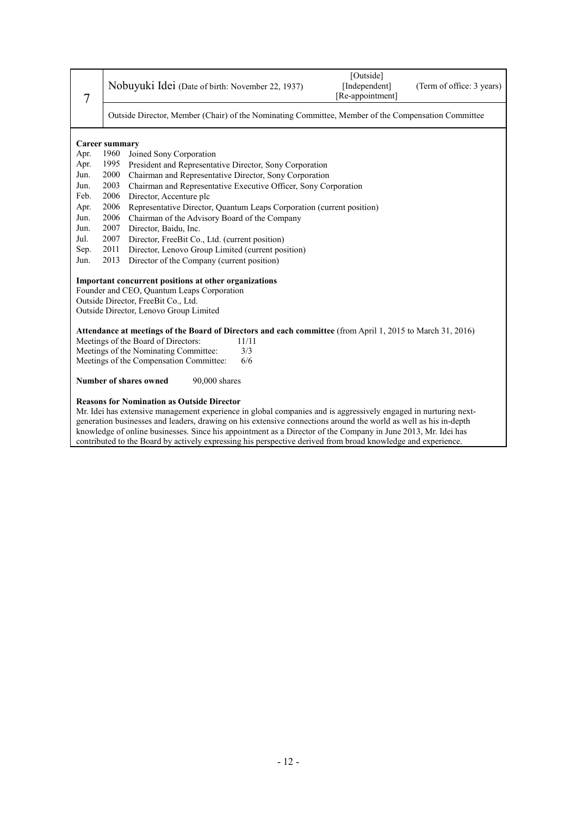| 7                                                                                                             |                                                                                                                  | Nobuyuki Idei (Date of birth: November 22, 1937)                                                             | [Outside]<br>[Independent]<br>[Re-appointment] | (Term of office: 3 years) |  |  |
|---------------------------------------------------------------------------------------------------------------|------------------------------------------------------------------------------------------------------------------|--------------------------------------------------------------------------------------------------------------|------------------------------------------------|---------------------------|--|--|
|                                                                                                               | Outside Director, Member (Chair) of the Nominating Committee, Member of the Compensation Committee               |                                                                                                              |                                                |                           |  |  |
|                                                                                                               | <b>Career summary</b>                                                                                            |                                                                                                              |                                                |                           |  |  |
| Apr.                                                                                                          | 1960                                                                                                             | Joined Sony Corporation                                                                                      |                                                |                           |  |  |
| Apr.                                                                                                          | 1995                                                                                                             | President and Representative Director, Sony Corporation                                                      |                                                |                           |  |  |
| Jun.                                                                                                          | 2000                                                                                                             | Chairman and Representative Director, Sony Corporation                                                       |                                                |                           |  |  |
| Jun.                                                                                                          | 2003                                                                                                             | Chairman and Representative Executive Officer, Sony Corporation                                              |                                                |                           |  |  |
| Feb.                                                                                                          | 2006                                                                                                             | Director, Accenture plc                                                                                      |                                                |                           |  |  |
| Apr.                                                                                                          | 2006                                                                                                             | Representative Director, Quantum Leaps Corporation (current position)                                        |                                                |                           |  |  |
| Jun.                                                                                                          | 2006                                                                                                             | Chairman of the Advisory Board of the Company                                                                |                                                |                           |  |  |
| Jun.                                                                                                          | 2007                                                                                                             | Director, Baidu, Inc.                                                                                        |                                                |                           |  |  |
| Jul.                                                                                                          | 2007<br>Director, FreeBit Co., Ltd. (current position)                                                           |                                                                                                              |                                                |                           |  |  |
| Sep.                                                                                                          | 2011<br>Director, Lenovo Group Limited (current position)                                                        |                                                                                                              |                                                |                           |  |  |
| Jun.                                                                                                          | 2013<br>Director of the Company (current position)                                                               |                                                                                                              |                                                |                           |  |  |
|                                                                                                               |                                                                                                                  | Important concurrent positions at other organizations                                                        |                                                |                           |  |  |
|                                                                                                               |                                                                                                                  | Founder and CEO, Quantum Leaps Corporation                                                                   |                                                |                           |  |  |
|                                                                                                               |                                                                                                                  | Outside Director, FreeBit Co., Ltd.                                                                          |                                                |                           |  |  |
|                                                                                                               |                                                                                                                  | Outside Director, Lenovo Group Limited                                                                       |                                                |                           |  |  |
|                                                                                                               |                                                                                                                  | Attendance at meetings of the Board of Directors and each committee (from April 1, 2015 to March 31, 2016)   |                                                |                           |  |  |
|                                                                                                               |                                                                                                                  | Meetings of the Board of Directors:<br>11/11                                                                 |                                                |                           |  |  |
|                                                                                                               |                                                                                                                  | Meetings of the Nominating Committee:<br>3/3                                                                 |                                                |                           |  |  |
|                                                                                                               |                                                                                                                  | Meetings of the Compensation Committee:<br>6/6                                                               |                                                |                           |  |  |
|                                                                                                               |                                                                                                                  |                                                                                                              |                                                |                           |  |  |
|                                                                                                               | <b>Number of shares owned</b><br>90,000 shares                                                                   |                                                                                                              |                                                |                           |  |  |
|                                                                                                               |                                                                                                                  | <b>Reasons for Nomination as Outside Director</b>                                                            |                                                |                           |  |  |
|                                                                                                               | Mr. Idei has extensive management experience in global companies and is aggressively engaged in nurturing next-  |                                                                                                              |                                                |                           |  |  |
|                                                                                                               | generation businesses and leaders, drawing on his extensive connections around the world as well as his in-depth |                                                                                                              |                                                |                           |  |  |
| knowledge of online businesses. Since his appointment as a Director of the Company in June 2013, Mr. Idei has |                                                                                                                  |                                                                                                              |                                                |                           |  |  |
|                                                                                                               |                                                                                                                  | contributed to the Board by actively expressing his perspective derived from broad knowledge and experience. |                                                |                           |  |  |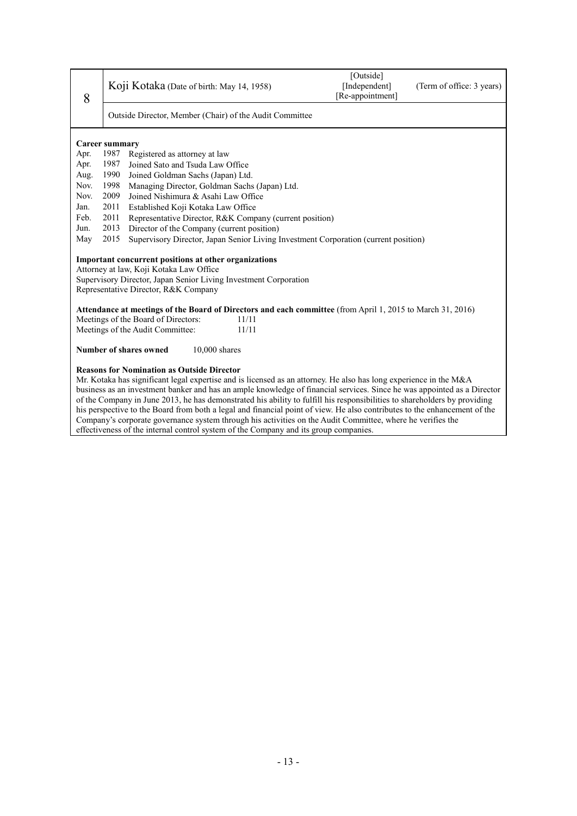| 8                                                                                    | Koji Kotaka (Date of birth: May 14, 1958)                                                                                                                                                                                                              | [Outside]<br>[Independent]<br>[Re-appointment] | (Term of office: 3 years) |  |  |
|--------------------------------------------------------------------------------------|--------------------------------------------------------------------------------------------------------------------------------------------------------------------------------------------------------------------------------------------------------|------------------------------------------------|---------------------------|--|--|
| Outside Director, Member (Chair) of the Audit Committee                              |                                                                                                                                                                                                                                                        |                                                |                           |  |  |
|                                                                                      | <b>Career summary</b>                                                                                                                                                                                                                                  |                                                |                           |  |  |
| Apr.                                                                                 | 1987<br>Registered as attorney at law                                                                                                                                                                                                                  |                                                |                           |  |  |
| Apr.                                                                                 | 1987<br>Joined Sato and Tsuda Law Office                                                                                                                                                                                                               |                                                |                           |  |  |
| Aug.                                                                                 | 1990<br>Joined Goldman Sachs (Japan) Ltd.                                                                                                                                                                                                              |                                                |                           |  |  |
| Nov.                                                                                 | 1998<br>Managing Director, Goldman Sachs (Japan) Ltd.                                                                                                                                                                                                  |                                                |                           |  |  |
| Nov.                                                                                 | 2009<br>Joined Nishimura & Asahi Law Office                                                                                                                                                                                                            |                                                |                           |  |  |
| Jan.                                                                                 | 2011<br>Established Koji Kotaka Law Office                                                                                                                                                                                                             |                                                |                           |  |  |
| Feb.                                                                                 | 2011<br>Representative Director, R&K Company (current position)                                                                                                                                                                                        |                                                |                           |  |  |
| Jun.                                                                                 | 2013<br>Director of the Company (current position)                                                                                                                                                                                                     |                                                |                           |  |  |
| May                                                                                  | 2015<br>Supervisory Director, Japan Senior Living Investment Corporation (current position)                                                                                                                                                            |                                                |                           |  |  |
|                                                                                      | Important concurrent positions at other organizations<br>Attorney at law, Koji Kotaka Law Office<br>Supervisory Director, Japan Senior Living Investment Corporation<br>Representative Director, R&K Company                                           |                                                |                           |  |  |
|                                                                                      | Attendance at meetings of the Board of Directors and each committee (from April 1, 2015 to March 31, 2016)                                                                                                                                             |                                                |                           |  |  |
|                                                                                      | Meetings of the Board of Directors:<br>11/11                                                                                                                                                                                                           |                                                |                           |  |  |
|                                                                                      | Meetings of the Audit Committee:<br>11/11                                                                                                                                                                                                              |                                                |                           |  |  |
| Number of shares owned<br>10,000 shares                                              |                                                                                                                                                                                                                                                        |                                                |                           |  |  |
| <b>Reasons for Nomination as Outside Director</b>                                    |                                                                                                                                                                                                                                                        |                                                |                           |  |  |
|                                                                                      | Mr. Kotaka has significant legal expertise and is licensed as an attorney. He also has long experience in the M&A                                                                                                                                      |                                                |                           |  |  |
|                                                                                      | business as an investment banker and has an ample knowledge of financial services. Since he was appointed as a Director                                                                                                                                |                                                |                           |  |  |
|                                                                                      | of the Company in June 2013, he has demonstrated his ability to fulfill his responsibilities to shareholders by providing<br>his perspective to the Board from both a legal and financial point of view. He also contributes to the enhancement of the |                                                |                           |  |  |
|                                                                                      | Company's corporate governance system through his activities on the Audit Committee, where he verifies the                                                                                                                                             |                                                |                           |  |  |
| effectiveness of the internal control system of the Company and its group companies. |                                                                                                                                                                                                                                                        |                                                |                           |  |  |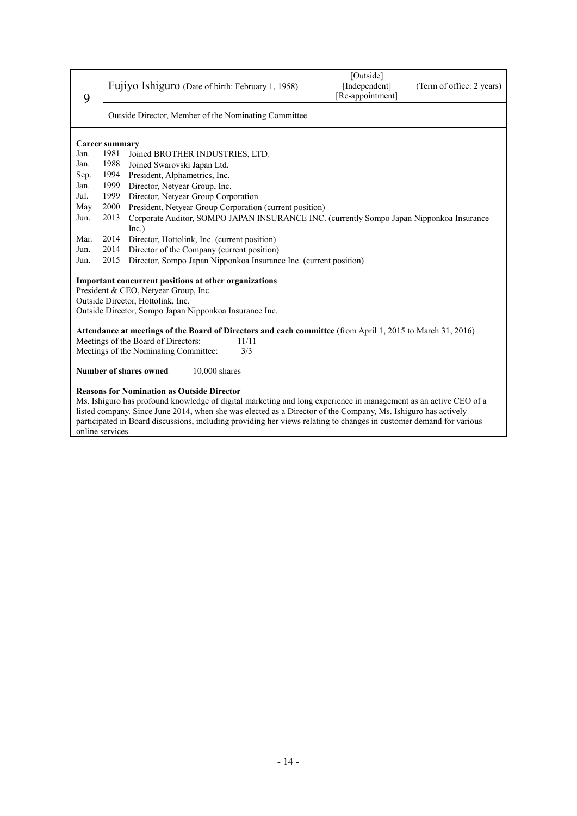| 9    | Fujiyo Ishiguro (Date of birth: February 1, 1958)                                                                                                                                                                                                                                                                                                                                                                                 | [Outside]<br>[Independent]<br>[Re-appointment]                    | (Term of office: 2 years) |  |  |
|------|-----------------------------------------------------------------------------------------------------------------------------------------------------------------------------------------------------------------------------------------------------------------------------------------------------------------------------------------------------------------------------------------------------------------------------------|-------------------------------------------------------------------|---------------------------|--|--|
|      | Outside Director, Member of the Nominating Committee                                                                                                                                                                                                                                                                                                                                                                              |                                                                   |                           |  |  |
|      | <b>Career summary</b>                                                                                                                                                                                                                                                                                                                                                                                                             |                                                                   |                           |  |  |
| Jan. | 1981<br>Joined BROTHER INDUSTRIES, LTD.                                                                                                                                                                                                                                                                                                                                                                                           |                                                                   |                           |  |  |
| Jan. | 1988<br>Joined Swarovski Japan Ltd.                                                                                                                                                                                                                                                                                                                                                                                               |                                                                   |                           |  |  |
| Sep. | 1994<br>President, Alphametrics, Inc.                                                                                                                                                                                                                                                                                                                                                                                             |                                                                   |                           |  |  |
| Jan. | 1999<br>Director, Netyear Group, Inc.                                                                                                                                                                                                                                                                                                                                                                                             |                                                                   |                           |  |  |
| Jul. | 1999<br>Director, Netyear Group Corporation                                                                                                                                                                                                                                                                                                                                                                                       |                                                                   |                           |  |  |
| May  | 2000<br>President, Netyear Group Corporation (current position)                                                                                                                                                                                                                                                                                                                                                                   |                                                                   |                           |  |  |
| Jun. | Corporate Auditor, SOMPO JAPAN INSURANCE INC. (currently Sompo Japan Nipponkoa Insurance<br>2013                                                                                                                                                                                                                                                                                                                                  |                                                                   |                           |  |  |
|      | Inc.)                                                                                                                                                                                                                                                                                                                                                                                                                             |                                                                   |                           |  |  |
| Mar. | 2014<br>Director, Hottolink, Inc. (current position)                                                                                                                                                                                                                                                                                                                                                                              |                                                                   |                           |  |  |
| Jun. | 2014<br>Director of the Company (current position)                                                                                                                                                                                                                                                                                                                                                                                |                                                                   |                           |  |  |
| Jun. | 2015                                                                                                                                                                                                                                                                                                                                                                                                                              | Director, Sompo Japan Nipponkoa Insurance Inc. (current position) |                           |  |  |
|      |                                                                                                                                                                                                                                                                                                                                                                                                                                   |                                                                   |                           |  |  |
|      | Important concurrent positions at other organizations<br>President & CEO, Netyear Group, Inc.                                                                                                                                                                                                                                                                                                                                     |                                                                   |                           |  |  |
|      | Outside Director, Hottolink, Inc.                                                                                                                                                                                                                                                                                                                                                                                                 |                                                                   |                           |  |  |
|      | Outside Director, Sompo Japan Nipponkoa Insurance Inc.                                                                                                                                                                                                                                                                                                                                                                            |                                                                   |                           |  |  |
|      |                                                                                                                                                                                                                                                                                                                                                                                                                                   |                                                                   |                           |  |  |
|      | Attendance at meetings of the Board of Directors and each committee (from April 1, 2015 to March 31, 2016)                                                                                                                                                                                                                                                                                                                        |                                                                   |                           |  |  |
|      | Meetings of the Board of Directors:<br>11/11                                                                                                                                                                                                                                                                                                                                                                                      |                                                                   |                           |  |  |
|      | Meetings of the Nominating Committee:<br>3/3                                                                                                                                                                                                                                                                                                                                                                                      |                                                                   |                           |  |  |
|      |                                                                                                                                                                                                                                                                                                                                                                                                                                   |                                                                   |                           |  |  |
|      | <b>Number of shares owned</b><br>$10,000$ shares                                                                                                                                                                                                                                                                                                                                                                                  |                                                                   |                           |  |  |
|      | <b>Reasons for Nomination as Outside Director</b><br>Ms. Ishiguro has profound knowledge of digital marketing and long experience in management as an active CEO of a<br>listed company. Since June 2014, when she was elected as a Director of the Company, Ms. Ishiguro has actively<br>participated in Board discussions, including providing her views relating to changes in customer demand for various<br>online services. |                                                                   |                           |  |  |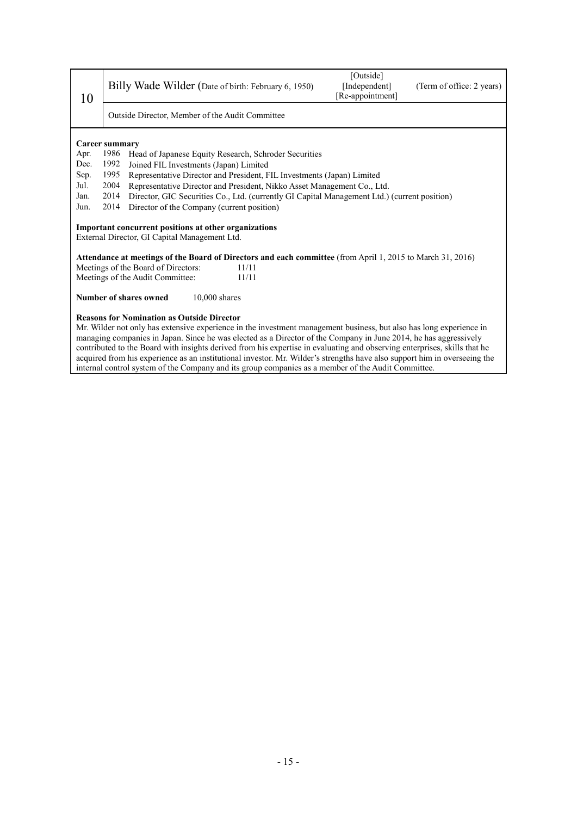| 10                                                                                                                                                                                                                                                                                                                                                                                                                        |                                                                                                      | Billy Wade Wilder (Date of birth: February 6, 1950)                                                        | [Outside]<br>[Independent]<br>[Re-appointment] | (Term of office: 2 years) |
|---------------------------------------------------------------------------------------------------------------------------------------------------------------------------------------------------------------------------------------------------------------------------------------------------------------------------------------------------------------------------------------------------------------------------|------------------------------------------------------------------------------------------------------|------------------------------------------------------------------------------------------------------------|------------------------------------------------|---------------------------|
|                                                                                                                                                                                                                                                                                                                                                                                                                           |                                                                                                      | Outside Director, Member of the Audit Committee                                                            |                                                |                           |
| Career summary<br>Apr.                                                                                                                                                                                                                                                                                                                                                                                                    | 1986                                                                                                 | Head of Japanese Equity Research, Schroder Securities                                                      |                                                |                           |
| Dec.                                                                                                                                                                                                                                                                                                                                                                                                                      | 1992                                                                                                 | Joined FIL Investments (Japan) Limited                                                                     |                                                |                           |
| Sep.                                                                                                                                                                                                                                                                                                                                                                                                                      | 1995                                                                                                 | Representative Director and President, FIL Investments (Japan) Limited                                     |                                                |                           |
| Jul.                                                                                                                                                                                                                                                                                                                                                                                                                      | 2004<br>Representative Director and President, Nikko Asset Management Co., Ltd.                      |                                                                                                            |                                                |                           |
| Jan.                                                                                                                                                                                                                                                                                                                                                                                                                      | 2014<br>Director, GIC Securities Co., Ltd. (currently GI Capital Management Ltd.) (current position) |                                                                                                            |                                                |                           |
| Jun.                                                                                                                                                                                                                                                                                                                                                                                                                      | 2014                                                                                                 | Director of the Company (current position)                                                                 |                                                |                           |
| Important concurrent positions at other organizations<br>External Director, GI Capital Management Ltd.                                                                                                                                                                                                                                                                                                                    |                                                                                                      |                                                                                                            |                                                |                           |
|                                                                                                                                                                                                                                                                                                                                                                                                                           |                                                                                                      | Attendance at meetings of the Board of Directors and each committee (from April 1, 2015 to March 31, 2016) |                                                |                           |
|                                                                                                                                                                                                                                                                                                                                                                                                                           |                                                                                                      | Meetings of the Board of Directors:<br>11/11                                                               |                                                |                           |
|                                                                                                                                                                                                                                                                                                                                                                                                                           |                                                                                                      | 11/11<br>Meetings of the Audit Committee:                                                                  |                                                |                           |
| <b>Number of shares owned</b><br>$10,000$ shares                                                                                                                                                                                                                                                                                                                                                                          |                                                                                                      |                                                                                                            |                                                |                           |
| <b>Reasons for Nomination as Outside Director</b><br>Mr. Wilder not only has extensive experience in the investment management business, but also has long experience in<br>managing companies in Japan. Since he was elected as a Director of the Company in June 2014, he has aggressively<br>contributed to the Board with insights derived from his expertise in evaluating and observing enterprises, skills that he |                                                                                                      |                                                                                                            |                                                |                           |

acquired from his experience as an institutional investor. Mr. Wilder's strengths have also support him in overseeing the internal control system of the Company and its group companies as a member of the Audit Committee.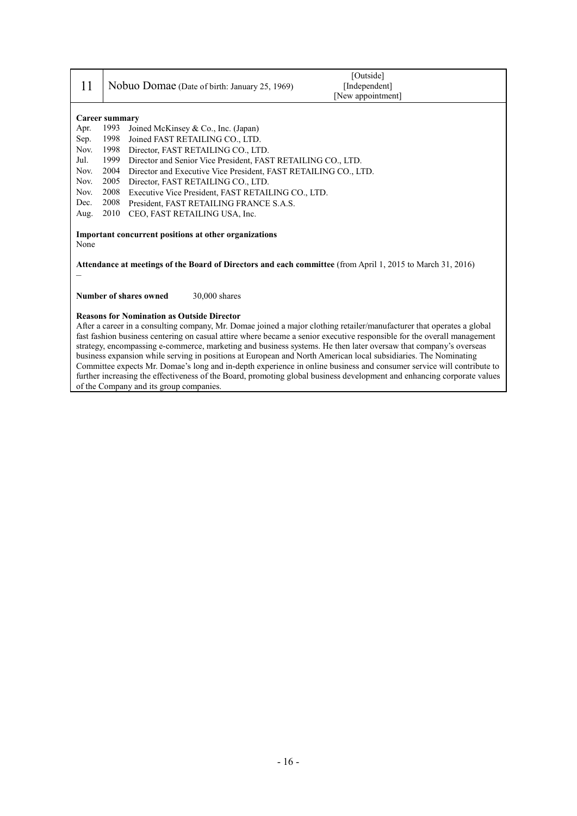| 11                                                                                                                                                                                                                                                                                                                                                                                                                         | [Outside]<br>Nobuo Domae (Date of birth: January 25, 1969)<br>[Independent]<br>[New appointment] |  |
|----------------------------------------------------------------------------------------------------------------------------------------------------------------------------------------------------------------------------------------------------------------------------------------------------------------------------------------------------------------------------------------------------------------------------|--------------------------------------------------------------------------------------------------|--|
|                                                                                                                                                                                                                                                                                                                                                                                                                            |                                                                                                  |  |
| Career summary                                                                                                                                                                                                                                                                                                                                                                                                             |                                                                                                  |  |
| Apr.                                                                                                                                                                                                                                                                                                                                                                                                                       | 1993<br>Joined McKinsey & Co., Inc. (Japan)                                                      |  |
| Sep.                                                                                                                                                                                                                                                                                                                                                                                                                       | 1998<br>Joined FAST RETAILING CO., LTD.                                                          |  |
| Nov.                                                                                                                                                                                                                                                                                                                                                                                                                       | 1998<br>Director, FAST RETAILING CO., LTD.                                                       |  |
| Jul.                                                                                                                                                                                                                                                                                                                                                                                                                       | 1999<br>Director and Senior Vice President, FAST RETAILING CO., LTD.                             |  |
| Nov.                                                                                                                                                                                                                                                                                                                                                                                                                       | 2004<br>Director and Executive Vice President, FAST RETAILING CO., LTD.                          |  |
| Nov.                                                                                                                                                                                                                                                                                                                                                                                                                       | 2005<br>Director, FAST RETAILING CO., LTD.                                                       |  |
| Nov.                                                                                                                                                                                                                                                                                                                                                                                                                       | 2008<br>Executive Vice President, FAST RETAILING CO., LTD.                                       |  |
| Dec.                                                                                                                                                                                                                                                                                                                                                                                                                       | 2008<br>President, FAST RETAILING FRANCE S.A.S.                                                  |  |
| Aug.                                                                                                                                                                                                                                                                                                                                                                                                                       | 2010<br>CEO, FAST RETAILING USA, Inc.                                                            |  |
| Important concurrent positions at other organizations<br>None                                                                                                                                                                                                                                                                                                                                                              |                                                                                                  |  |
| Attendance at meetings of the Board of Directors and each committee (from April 1, 2015 to March 31, 2016)                                                                                                                                                                                                                                                                                                                 |                                                                                                  |  |
| Number of shares owned<br>$30,000$ shares                                                                                                                                                                                                                                                                                                                                                                                  |                                                                                                  |  |
| <b>Reasons for Nomination as Outside Director</b><br>After a career in a consulting company, Mr. Domae joined a major clothing retailer/manufacturer that operates a global<br>fast fashion business centering on casual attire where became a senior executive responsible for the overall management<br>strategy, encompassing e-commerce, marketing and business systems. He then later oversaw that company's overseas |                                                                                                  |  |

business expansion while serving in positions at European and North American local subsidiaries. The Nominating Committee expects Mr. Domae's long and in-depth experience in online business and consumer service will contribute to further increasing the effectiveness of the Board, promoting global business development and enhancing corporate values of the Company and its group companies.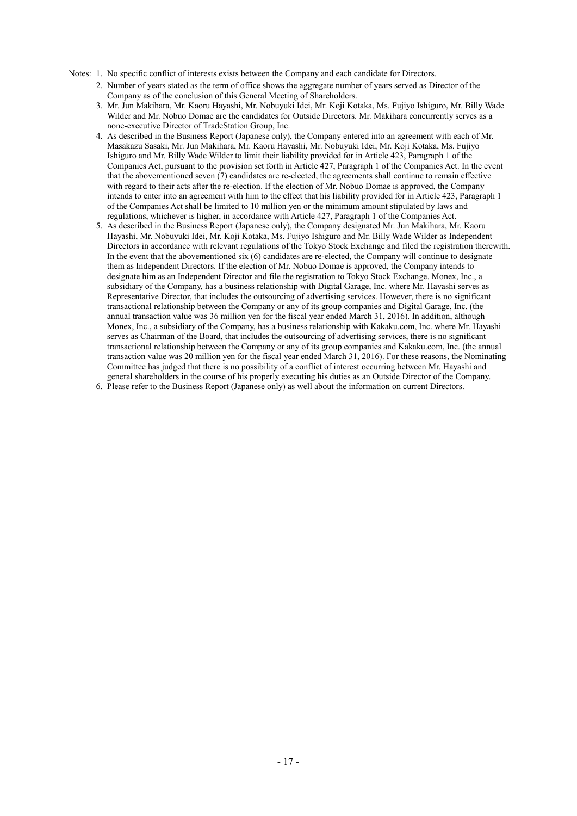- Notes: 1. No specific conflict of interests exists between the Company and each candidate for Directors.
	- 2. Number of years stated as the term of office shows the aggregate number of years served as Director of the Company as of the conclusion of this General Meeting of Shareholders.
	- 3. Mr. Jun Makihara, Mr. Kaoru Hayashi, Mr. Nobuyuki Idei, Mr. Koji Kotaka, Ms. Fujiyo Ishiguro, Mr. Billy Wade Wilder and Mr. Nobuo Domae are the candidates for Outside Directors. Mr. Makihara concurrently serves as a none-executive Director of TradeStation Group, Inc.
	- 4. As described in the Business Report (Japanese only), the Company entered into an agreement with each of Mr. Masakazu Sasaki, Mr. Jun Makihara, Mr. Kaoru Hayashi, Mr. Nobuyuki Idei, Mr. Koji Kotaka, Ms. Fujiyo Ishiguro and Mr. Billy Wade Wilder to limit their liability provided for in Article 423, Paragraph 1 of the Companies Act, pursuant to the provision set forth in Article 427, Paragraph 1 of the Companies Act. In the event that the abovementioned seven (7) candidates are re-elected, the agreements shall continue to remain effective with regard to their acts after the re-election. If the election of Mr. Nobuo Domae is approved, the Company intends to enter into an agreement with him to the effect that his liability provided for in Article 423, Paragraph 1 of the Companies Act shall be limited to 10 million yen or the minimum amount stipulated by laws and regulations, whichever is higher, in accordance with Article 427, Paragraph 1 of the Companies Act.
	- 5. As described in the Business Report (Japanese only), the Company designated Mr. Jun Makihara, Mr. Kaoru Hayashi, Mr. Nobuyuki Idei, Mr. Koji Kotaka, Ms. Fujiyo Ishiguro and Mr. Billy Wade Wilder as Independent Directors in accordance with relevant regulations of the Tokyo Stock Exchange and filed the registration therewith. In the event that the abovementioned  $six(6)$  candidates are re-elected, the Company will continue to designate them as Independent Directors. If the election of Mr. Nobuo Domae is approved, the Company intends to designate him as an Independent Director and file the registration to Tokyo Stock Exchange. Monex, Inc., a subsidiary of the Company, has a business relationship with Digital Garage, Inc. where Mr. Hayashi serves as Representative Director, that includes the outsourcing of advertising services. However, there is no significant transactional relationship between the Company or any of its group companies and Digital Garage, Inc. (the annual transaction value was 36 million yen for the fiscal year ended March 31, 2016). In addition, although Monex, Inc., a subsidiary of the Company, has a business relationship with Kakaku.com, Inc. where Mr. Hayashi serves as Chairman of the Board, that includes the outsourcing of advertising services, there is no significant transactional relationship between the Company or any of its group companies and Kakaku.com, Inc. (the annual transaction value was 20 million yen for the fiscal year ended March 31, 2016). For these reasons, the Nominating Committee has judged that there is no possibility of a conflict of interest occurring between Mr. Hayashi and general shareholders in the course of his properly executing his duties as an Outside Director of the Company.
	- 6. Please refer to the Business Report (Japanese only) as well about the information on current Directors.